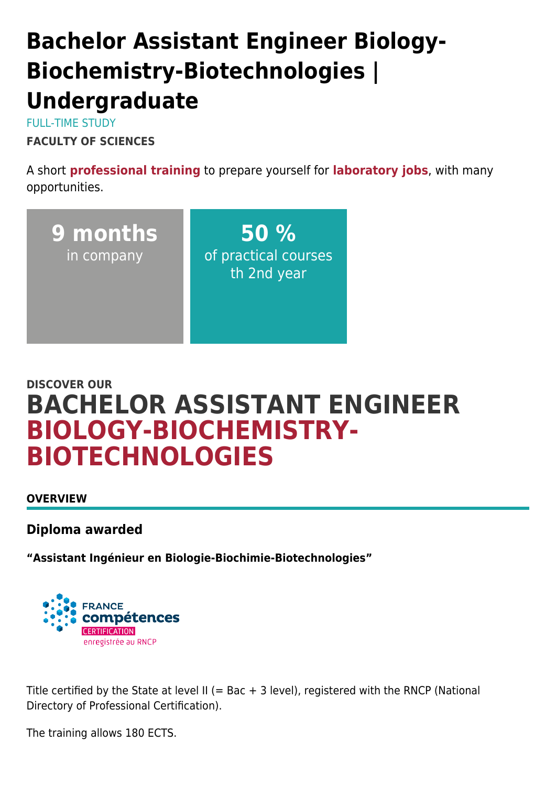# **Bachelor Assistant Engineer Biology-Biochemistry-Biotechnologies | Undergraduate**

FULL-TIME STUDY **FACULTY OF SCIENCES**

A short **professional training** to prepare yourself for **laboratory jobs**, with many opportunities.



# **DISCOVER OUR BACHELOR ASSISTANT ENGINEER BIOLOGY-BIOCHEMISTRY-BIOTECHNOLOGIES**

**OVERVIEW**

**Diploma awarded**

**"Assistant Ingénieur en Biologie-Biochimie-Biotechnologies"**



Title certified by the State at level II (= Bac + 3 level), registered with the RNCP (National Directory of Professional Certification).

The training allows 180 ECTS.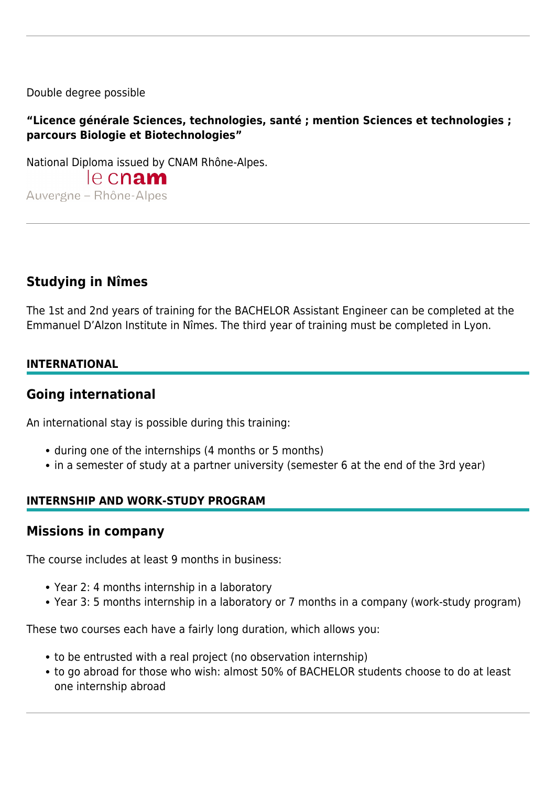Double degree possible

### **"Licence générale Sciences, technologies, santé ; mention Sciences et technologies ; parcours Biologie et Biotechnologies"**

National Diploma issued by CNAM Rhône-Alpes.

le cnam Auvergne - Rhône-Alpes

# **Studying in Nîmes**

The 1st and 2nd years of training for the BACHELOR Assistant Engineer can be completed at the Emmanuel D'Alzon Institute in Nîmes. The third year of training must be completed in Lyon.

### **INTERNATIONAL**

### **Going international**

An international stay is possible during this training:

- during one of the internships (4 months or 5 months)
- in a semester of study at a partner university (semester 6 at the end of the 3rd year)

### **INTERNSHIP AND WORK-STUDY PROGRAM**

### **Missions in company**

The course includes at least 9 months in business:

- Year 2: 4 months internship in a laboratory
- Year 3: 5 months internship in a laboratory or 7 months in a company (work-study program)

These two courses each have a fairly long duration, which allows you:

- to be entrusted with a real project (no observation internship)
- to go abroad for those who wish: almost 50% of BACHELOR students choose to do at least one internship abroad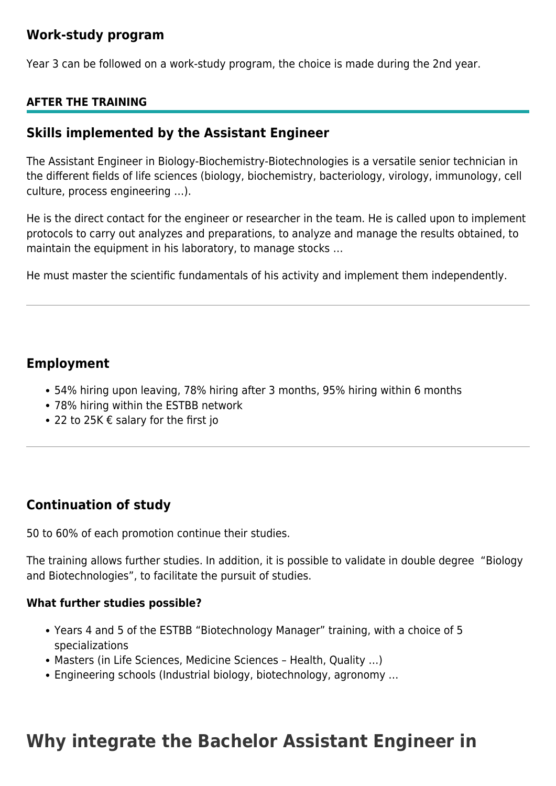# **Work-study program**

Year 3 can be followed on a work-study program, the choice is made during the 2nd year.

### **AFTER THE TRAINING**

### **Skills implemented by the Assistant Engineer**

The Assistant Engineer in Biology-Biochemistry-Biotechnologies is a versatile senior technician in the different fields of life sciences (biology, biochemistry, bacteriology, virology, immunology, cell culture, process engineering …).

He is the direct contact for the engineer or researcher in the team. He is called upon to implement protocols to carry out analyzes and preparations, to analyze and manage the results obtained, to maintain the equipment in his laboratory, to manage stocks …

He must master the scientific fundamentals of his activity and implement them independently.

### **Employment**

- 54% hiring upon leaving, 78% hiring after 3 months, 95% hiring within 6 months
- 78% hiring within the ESTBB network
- 22 to 25K € salary for the first jo

# **Continuation of study**

50 to 60% of each promotion continue their studies.

The training allows further studies. In addition, it is possible to validate in double degree "Biology and Biotechnologies", to facilitate the pursuit of studies.

### **What further studies possible?**

- Years 4 and 5 of the ESTBB "Biotechnology Manager" training, with a choice of 5 specializations
- Masters (in Life Sciences, Medicine Sciences Health, Quality …)
- Engineering schools (Industrial biology, biotechnology, agronomy …

# **Why integrate the Bachelor Assistant Engineer in**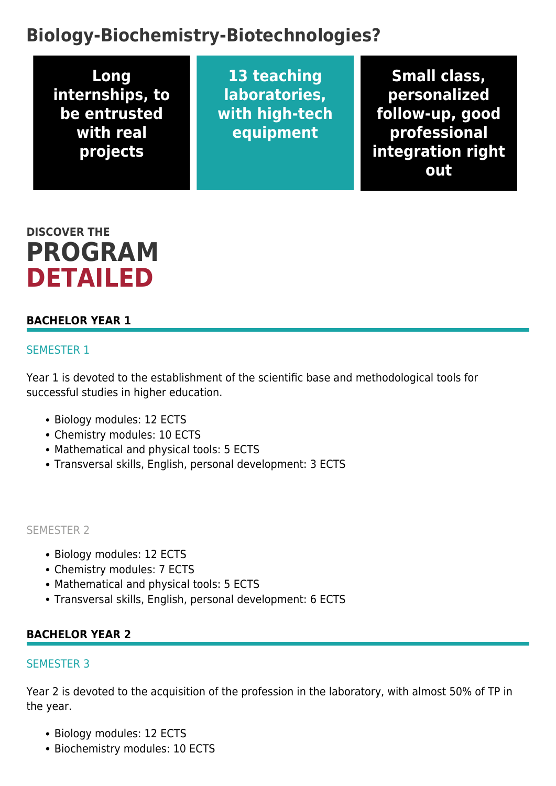# **Biology-Biochemistry-Biotechnologies?**

**Long internships, to be entrusted with real projects**

**13 teaching laboratories, with high-tech equipment**

**Small class, personalized follow-up, good professional integration right out**

# **DISCOVER THE PROGRAM DETAILED**

### **BACHELOR YEAR 1**

#### SEMESTER 1

Year 1 is devoted to the establishment of the scientific base and methodological tools for successful studies in higher education.

- Biology modules: 12 ECTS
- Chemistry modules: 10 ECTS
- Mathematical and physical tools: 5 ECTS
- Transversal skills, English, personal development: 3 ECTS

#### SEMESTER 2

- Biology modules: 12 ECTS
- Chemistry modules: 7 ECTS
- Mathematical and physical tools: 5 ECTS
- Transversal skills, English, personal development: 6 ECTS

### **BACHELOR YEAR 2**

#### SEMESTER 3

Year 2 is devoted to the acquisition of the profession in the laboratory, with almost 50% of TP in the year.

- Biology modules: 12 ECTS
- Biochemistry modules: 10 ECTS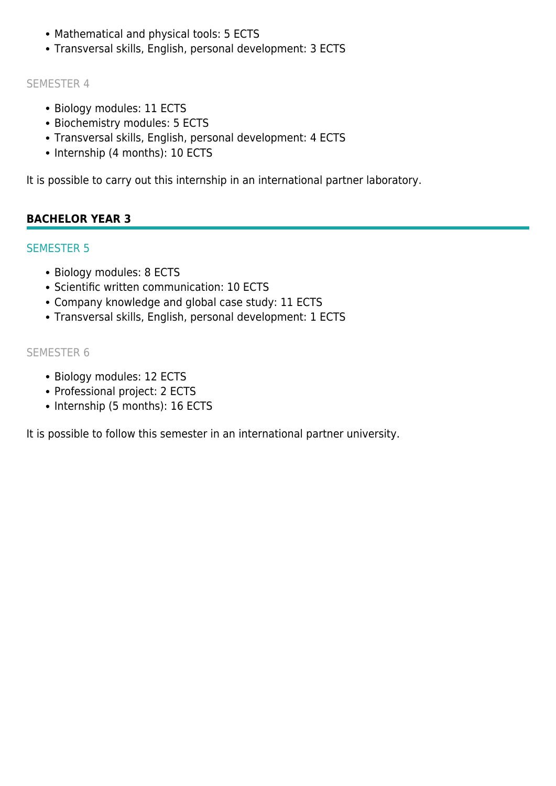- Mathematical and physical tools: 5 ECTS
- Transversal skills, English, personal development: 3 ECTS

### SEMESTER 4

- Biology modules: 11 ECTS
- Biochemistry modules: 5 ECTS
- Transversal skills, English, personal development: 4 ECTS
- Internship (4 months): 10 ECTS

It is possible to carry out this internship in an international partner laboratory.

# **BACHELOR YEAR 3**

# SEMESTER 5

- Biology modules: 8 ECTS
- Scientific written communication: 10 ECTS
- Company knowledge and global case study: 11 ECTS
- Transversal skills, English, personal development: 1 ECTS

# SEMESTER 6

- Biology modules: 12 ECTS
- Professional project: 2 ECTS
- Internship (5 months): 16 ECTS

It is possible to follow this semester in an international partner university.